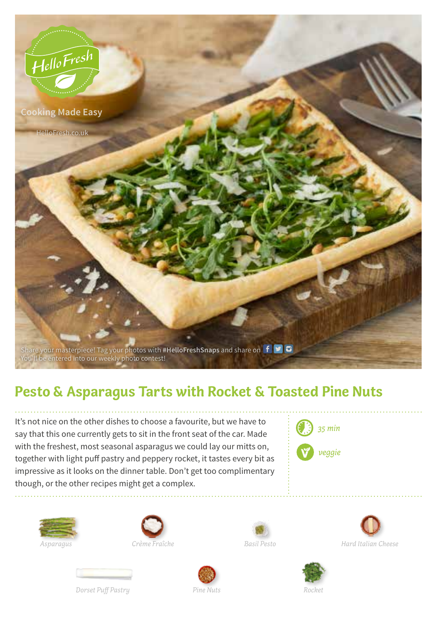

## **Pesto & Asparagus Tarts with Rocket & Toasted Pine Nuts**

It's not nice on the other dishes to choose a favourite, but we have to say that this one currently gets to sit in the front seat of the car. Made with the freshest, most seasonal asparagus we could lay our mitts on, together with light puff pastry and peppery rocket, it tastes every bit as impressive as it looks on the dinner table. Don't get too complimentary though, or the other recipes might get a complex.









*Hard Italian Cheese*





*Dorset Puff Pastry* Pine Nuts